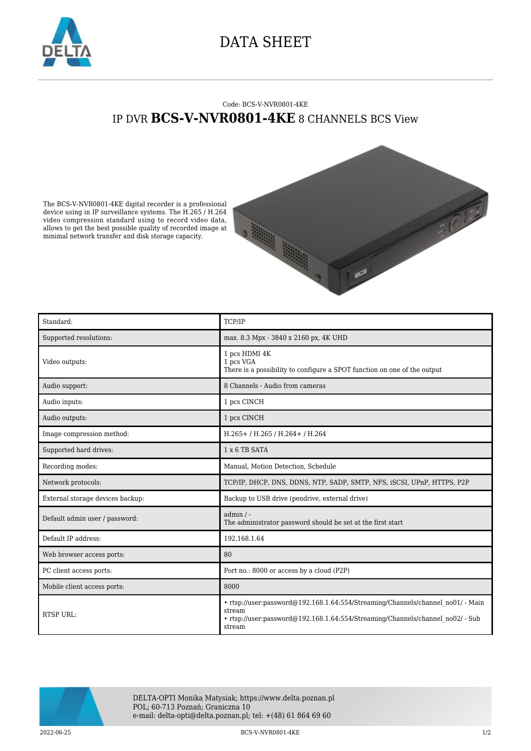

## DATA SHEET

## Code: BCS-V-NVR0801-4KE IP DVR **BCS-V-NVR0801-4KE** 8 CHANNELS BCS View

The BCS-V-NVR0801-4KE digital recorder is a professional device using in IP surveillance systems. The H.265 / H.264 video compression standard using to record video data, allows to get the best possible quality of recorded image at minimal network transfer and disk storage capacity.



| Standard:                        | TCP/IP                                                                                                                                                                                |
|----------------------------------|---------------------------------------------------------------------------------------------------------------------------------------------------------------------------------------|
| Supported resolutions:           | max. 8.3 Mpx - 3840 x 2160 px, 4K UHD                                                                                                                                                 |
| Video outputs:                   | 1 pcs HDMI 4K<br>1 pcs VGA<br>There is a possibility to configure a SPOT function on one of the output                                                                                |
| Audio support:                   | 8 Channels - Audio from cameras                                                                                                                                                       |
| Audio inputs:                    | 1 pcs CINCH                                                                                                                                                                           |
| Audio outputs:                   | 1 pcs CINCH                                                                                                                                                                           |
| Image compression method:        | H.265+/H.265/H.264+/H.264                                                                                                                                                             |
| Supported hard drives:           | $1 \times 6$ TB SATA                                                                                                                                                                  |
| Recording modes:                 | Manual, Motion Detection, Schedule                                                                                                                                                    |
| Network protocols:               | TCP/IP, DHCP, DNS, DDNS, NTP, SADP, SMTP, NFS, iSCSI, UPnP, HTTPS, P2P                                                                                                                |
| External storage devices backup: | Backup to USB drive (pendrive, external drive)                                                                                                                                        |
| Default admin user / password:   | $admin / -$<br>The administrator password should be set at the first start                                                                                                            |
| Default IP address:              | 192.168.1.64                                                                                                                                                                          |
| Web browser access ports:        | 80                                                                                                                                                                                    |
| PC client access ports:          | Port no.: 8000 or access by a cloud (P2P)                                                                                                                                             |
| Mobile client access ports:      | 8000                                                                                                                                                                                  |
| RTSP URL:                        | · rtsp://user:password@192.168.1.64:554/Streaming/Channels/channel no01/ - Main<br>stream<br>• rtsp://user:password@192.168.1.64:554/Streaming/Channels/channel no02/ - Sub<br>stream |